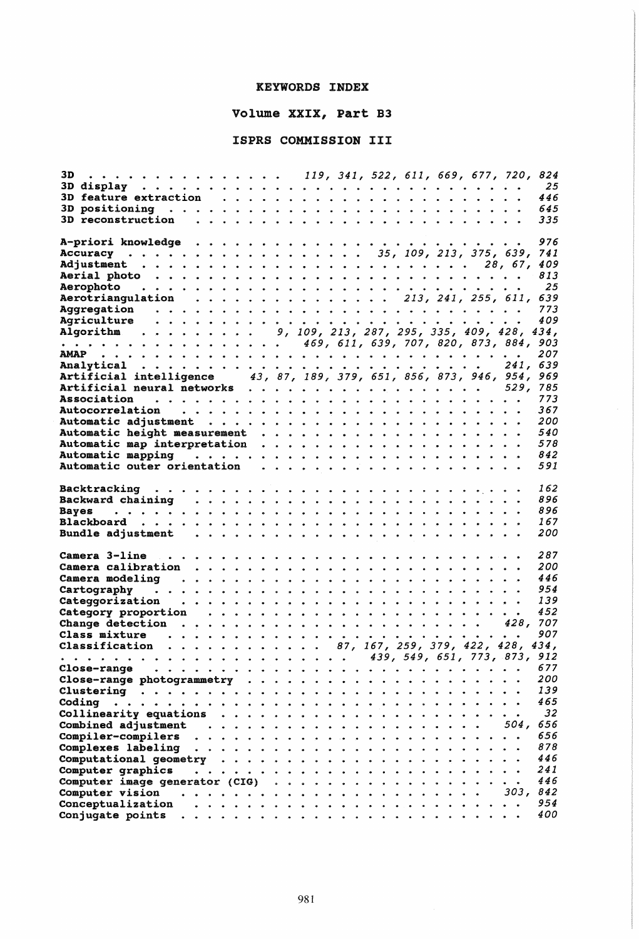## KEYWORDS INDEX

## Volume XXIX, Part B3

## ISPRS COMMISSION III

| $\cdots$ , 119, 341, 522, 611, 669, 677, 720, 824<br>3D.                               |               |   |  |  |          |            |
|----------------------------------------------------------------------------------------|---------------|---|--|--|----------|------------|
|                                                                                        |               |   |  |  |          | 25         |
|                                                                                        |               |   |  |  |          | 446        |
| 3D positioning $\ldots \ldots \ldots \ldots \ldots \ldots \ldots \ldots \ldots \ldots$ |               |   |  |  |          | 645        |
| 3D reconstruction $\ldots \ldots \ldots \ldots \ldots \ldots \ldots \ldots$            |               |   |  |  |          | 335        |
|                                                                                        |               |   |  |  |          |            |
|                                                                                        |               |   |  |  |          | 976        |
| Accuracy 35, 109, 213, 375, 639, 741                                                   |               |   |  |  |          |            |
|                                                                                        |               |   |  |  |          |            |
|                                                                                        |               |   |  |  |          |            |
|                                                                                        |               |   |  |  |          | 813        |
|                                                                                        |               |   |  |  |          | - 25       |
| Aerotriangulation 213, 241, 255, 611, 639                                              |               |   |  |  |          |            |
|                                                                                        |               |   |  |  |          | 773        |
| Agriculture<br>a dia kaominina mpikambana amin'ny fivondronan-kaominin'i               |               |   |  |  |          | 409        |
| Algorithm 9, 109, 213, 287, 295, 335, 409, 428,                                        |               |   |  |  |          | 434,       |
|                                                                                        |               |   |  |  |          |            |
|                                                                                        |               |   |  |  |          | 207        |
|                                                                                        |               |   |  |  | 241, 639 |            |
| Artificial intelligence 43, 87, 189, 379, 651, 856, 873, 946, 954,                     |               |   |  |  |          | 969        |
| Artificial neural networks 529,                                                        |               |   |  |  |          | 785        |
|                                                                                        |               |   |  |  |          | 773        |
|                                                                                        |               |   |  |  |          | 367        |
|                                                                                        |               |   |  |  |          | 200        |
|                                                                                        |               |   |  |  |          | 540        |
|                                                                                        |               |   |  |  |          | 578        |
|                                                                                        |               |   |  |  |          | 842        |
|                                                                                        |               |   |  |  |          | 591        |
|                                                                                        |               |   |  |  |          |            |
|                                                                                        |               |   |  |  |          |            |
|                                                                                        |               |   |  |  |          | 162        |
|                                                                                        |               |   |  |  |          | 896        |
| <b>Bayes</b>                                                                           |               |   |  |  |          | 896        |
| Blackboard                                                                             |               |   |  |  |          | 167        |
|                                                                                        |               |   |  |  |          | 200        |
|                                                                                        |               |   |  |  |          |            |
|                                                                                        |               |   |  |  |          | 287        |
|                                                                                        |               |   |  |  |          | 200        |
|                                                                                        |               |   |  |  |          | 446        |
|                                                                                        |               |   |  |  |          | 954        |
|                                                                                        |               |   |  |  |          | 139        |
|                                                                                        |               |   |  |  |          | 452        |
|                                                                                        |               |   |  |  |          |            |
|                                                                                        |               |   |  |  |          | 907        |
| Classification 87, 167, 259, 379, 422, 428, 434,                                       |               |   |  |  |          |            |
|                                                                                        |               |   |  |  |          |            |
| Close-range                                                                            |               |   |  |  |          | 677        |
|                                                                                        |               |   |  |  |          | 200        |
| Close-range photogrammetry $\cdots$                                                    |               |   |  |  |          |            |
|                                                                                        |               |   |  |  |          |            |
|                                                                                        |               |   |  |  |          | 139        |
| Coding<br>.                                                                            |               |   |  |  |          | 465        |
| Collinearity equations<br>.                                                            |               |   |  |  |          | 32         |
|                                                                                        |               |   |  |  | 504.     | 656        |
| <b>Compiler-compilers</b>                                                              |               |   |  |  |          | 656        |
| Complexes labeling<br>.                                                                |               |   |  |  |          | 878        |
| .                                                                                      |               |   |  |  |          | 446        |
| Computational geometry<br>.                                                            |               |   |  |  |          | 241        |
| Computer graphics                                                                      | $\sim$ $\sim$ |   |  |  |          | 446        |
| Computer image generator (CIG)                                                         |               |   |  |  | 303,     | 842        |
| Computer vision<br>.                                                                   |               | . |  |  |          |            |
| Conceptualization<br>$\ddot{\phantom{a}}$<br>Conjugate points                          |               |   |  |  |          | 954<br>400 |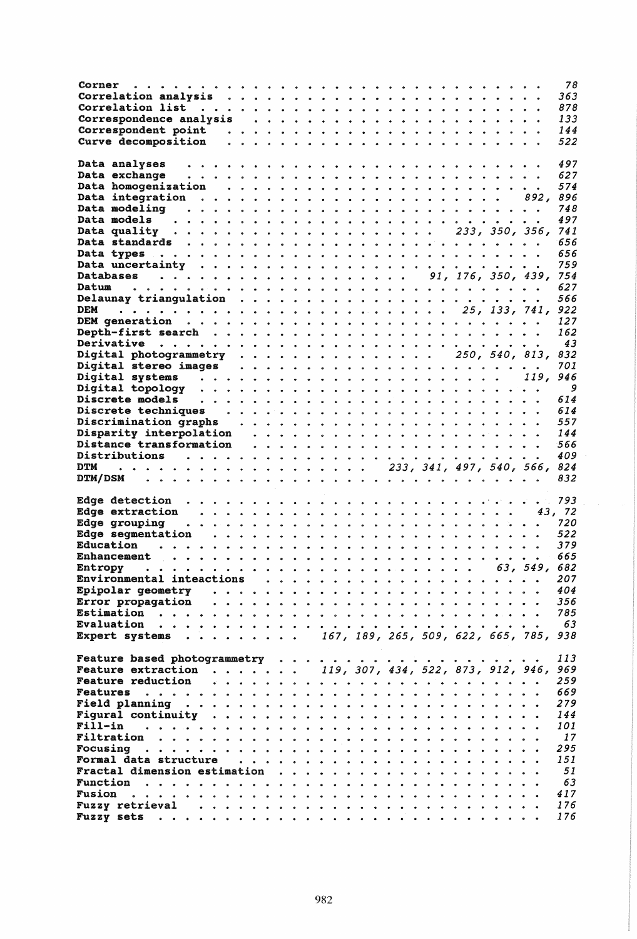| Corner                                                                                                 |  |  |  |  |  |  |              | 78         |
|--------------------------------------------------------------------------------------------------------|--|--|--|--|--|--|--------------|------------|
|                                                                                                        |  |  |  |  |  |  |              | 363        |
|                                                                                                        |  |  |  |  |  |  |              | 878        |
|                                                                                                        |  |  |  |  |  |  |              | 133        |
|                                                                                                        |  |  |  |  |  |  |              |            |
|                                                                                                        |  |  |  |  |  |  |              | 144        |
| Curve decomposition                                                                                    |  |  |  |  |  |  |              | 522        |
|                                                                                                        |  |  |  |  |  |  |              |            |
| Data analyses                                                                                          |  |  |  |  |  |  |              | 497        |
| Data exchange                                                                                          |  |  |  |  |  |  |              | 627        |
|                                                                                                        |  |  |  |  |  |  |              | 574        |
|                                                                                                        |  |  |  |  |  |  |              | 896        |
|                                                                                                        |  |  |  |  |  |  |              |            |
|                                                                                                        |  |  |  |  |  |  |              | 748        |
| Data models                                                                                            |  |  |  |  |  |  |              | 497        |
| Data quality $\cdots$ $\cdots$ $\cdots$ $\cdots$ $\cdots$ $\cdots$ $\cdots$ $\cdots$ $233$ , 350, 356, |  |  |  |  |  |  |              | 741        |
|                                                                                                        |  |  |  |  |  |  |              | 656        |
|                                                                                                        |  |  |  |  |  |  |              | 656        |
|                                                                                                        |  |  |  |  |  |  |              | 759        |
|                                                                                                        |  |  |  |  |  |  |              |            |
|                                                                                                        |  |  |  |  |  |  |              | 754        |
|                                                                                                        |  |  |  |  |  |  |              | 627        |
|                                                                                                        |  |  |  |  |  |  |              | 566        |
| <b>DEM</b>                                                                                             |  |  |  |  |  |  |              |            |
|                                                                                                        |  |  |  |  |  |  |              | 127        |
|                                                                                                        |  |  |  |  |  |  |              | 162        |
|                                                                                                        |  |  |  |  |  |  |              |            |
|                                                                                                        |  |  |  |  |  |  |              | 43         |
| Digital photogrammetry 250, 540, 813,                                                                  |  |  |  |  |  |  |              | 832        |
|                                                                                                        |  |  |  |  |  |  |              | 701        |
|                                                                                                        |  |  |  |  |  |  |              | 946        |
|                                                                                                        |  |  |  |  |  |  |              | 9          |
|                                                                                                        |  |  |  |  |  |  |              |            |
| Discrete models $\qquad \ldots \ldots \ldots \ldots \ldots \ldots \ldots \ldots$                       |  |  |  |  |  |  |              | 614        |
|                                                                                                        |  |  |  |  |  |  |              | 614        |
|                                                                                                        |  |  |  |  |  |  |              | 557        |
|                                                                                                        |  |  |  |  |  |  |              | 144        |
|                                                                                                        |  |  |  |  |  |  |              | 566        |
|                                                                                                        |  |  |  |  |  |  |              |            |
|                                                                                                        |  |  |  |  |  |  |              |            |
|                                                                                                        |  |  |  |  |  |  |              | 409        |
| $\cdots$ 233, 341, 497, 540, 566, 824<br>DTM                                                           |  |  |  |  |  |  |              |            |
|                                                                                                        |  |  |  |  |  |  |              | 832        |
|                                                                                                        |  |  |  |  |  |  |              |            |
|                                                                                                        |  |  |  |  |  |  |              | 793        |
|                                                                                                        |  |  |  |  |  |  |              |            |
| Edge extraction $\cdots \cdots \cdots \cdots$                                                          |  |  |  |  |  |  | 43, 72       |            |
| Edge grouping                                                                                          |  |  |  |  |  |  |              | 720        |
| Edge segmentation <i></i>                                                                              |  |  |  |  |  |  |              | 522        |
| Education                                                                                              |  |  |  |  |  |  |              | 379        |
|                                                                                                        |  |  |  |  |  |  |              | 665        |
| <b>Entropy</b>                                                                                         |  |  |  |  |  |  |              |            |
|                                                                                                        |  |  |  |  |  |  | 63, 549, 682 |            |
|                                                                                                        |  |  |  |  |  |  |              | 207        |
| Epipolar geometry $\cdots \cdots \cdots \cdots \cdots$                                                 |  |  |  |  |  |  |              | 404        |
| Error propagation $\cdots \cdots \cdots \cdots$                                                        |  |  |  |  |  |  |              | 356        |
|                                                                                                        |  |  |  |  |  |  |              | 785        |
|                                                                                                        |  |  |  |  |  |  |              | 63         |
|                                                                                                        |  |  |  |  |  |  |              |            |
| Expert systems $\ldots \ldots \ldots$ 167, 189, 265, 509, 622, 665, 785, 938                           |  |  |  |  |  |  |              |            |
|                                                                                                        |  |  |  |  |  |  |              |            |
|                                                                                                        |  |  |  |  |  |  |              | 113        |
| <b>Feature extraction </b> 119, 307, 434, 522, 873, 912, 946, 969                                      |  |  |  |  |  |  |              |            |
|                                                                                                        |  |  |  |  |  |  |              | 259        |
|                                                                                                        |  |  |  |  |  |  |              | 669        |
| Field planning $\ldots \ldots \ldots \ldots \ldots \ldots \ldots \ldots$                               |  |  |  |  |  |  |              | 279        |
|                                                                                                        |  |  |  |  |  |  |              | 144        |
| Figural continuity $\ldots \ldots \ldots \ldots \ldots \ldots \ldots \ldots$                           |  |  |  |  |  |  |              |            |
|                                                                                                        |  |  |  |  |  |  |              | 101        |
|                                                                                                        |  |  |  |  |  |  |              | <i>17</i>  |
|                                                                                                        |  |  |  |  |  |  |              | 295        |
| <b>Formal data structure</b>                                                                           |  |  |  |  |  |  |              | 151        |
|                                                                                                        |  |  |  |  |  |  |              |            |
|                                                                                                        |  |  |  |  |  |  |              | 51         |
|                                                                                                        |  |  |  |  |  |  |              | 63         |
|                                                                                                        |  |  |  |  |  |  |              | 417        |
| Fuzzy retrieval $\ldots \ldots \ldots \ldots \ldots \ldots \ldots \ldots$                              |  |  |  |  |  |  |              | 176<br>176 |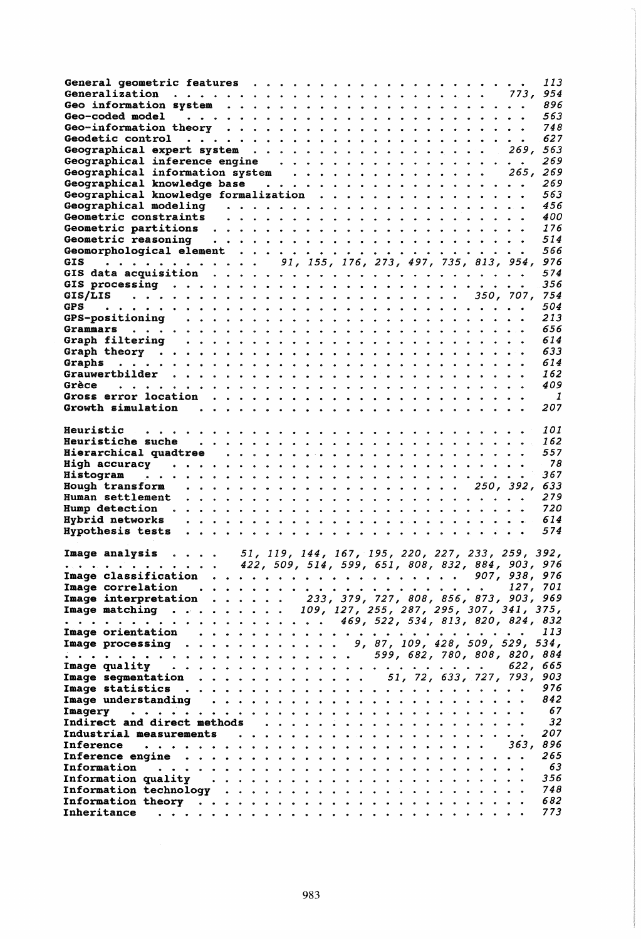|                                                                                                                                                                                                                    |  |  |  |  |  |  |  |                                                  |  | 113             |
|--------------------------------------------------------------------------------------------------------------------------------------------------------------------------------------------------------------------|--|--|--|--|--|--|--|--------------------------------------------------|--|-----------------|
|                                                                                                                                                                                                                    |  |  |  |  |  |  |  |                                                  |  |                 |
|                                                                                                                                                                                                                    |  |  |  |  |  |  |  |                                                  |  | 896             |
|                                                                                                                                                                                                                    |  |  |  |  |  |  |  |                                                  |  | 563             |
|                                                                                                                                                                                                                    |  |  |  |  |  |  |  |                                                  |  |                 |
|                                                                                                                                                                                                                    |  |  |  |  |  |  |  |                                                  |  | 748             |
|                                                                                                                                                                                                                    |  |  |  |  |  |  |  |                                                  |  | 627             |
| Geographical expert system 269, 563                                                                                                                                                                                |  |  |  |  |  |  |  |                                                  |  |                 |
|                                                                                                                                                                                                                    |  |  |  |  |  |  |  |                                                  |  | 269             |
| Geographical information system 265, 269                                                                                                                                                                           |  |  |  |  |  |  |  |                                                  |  |                 |
|                                                                                                                                                                                                                    |  |  |  |  |  |  |  |                                                  |  | 269             |
| Geographical knowledge formalization                                                                                                                                                                               |  |  |  |  |  |  |  |                                                  |  | 563             |
|                                                                                                                                                                                                                    |  |  |  |  |  |  |  |                                                  |  | 456             |
|                                                                                                                                                                                                                    |  |  |  |  |  |  |  |                                                  |  | 400             |
|                                                                                                                                                                                                                    |  |  |  |  |  |  |  |                                                  |  |                 |
|                                                                                                                                                                                                                    |  |  |  |  |  |  |  |                                                  |  | 176             |
|                                                                                                                                                                                                                    |  |  |  |  |  |  |  |                                                  |  | 514             |
|                                                                                                                                                                                                                    |  |  |  |  |  |  |  |                                                  |  | 566             |
| $\frac{1}{2}$ , 91, 155, 176, 273, 497, 735, 813, 954, 976<br><b>GIS</b>                                                                                                                                           |  |  |  |  |  |  |  |                                                  |  |                 |
|                                                                                                                                                                                                                    |  |  |  |  |  |  |  |                                                  |  | 574             |
|                                                                                                                                                                                                                    |  |  |  |  |  |  |  |                                                  |  | 356             |
|                                                                                                                                                                                                                    |  |  |  |  |  |  |  |                                                  |  |                 |
|                                                                                                                                                                                                                    |  |  |  |  |  |  |  |                                                  |  | 504             |
|                                                                                                                                                                                                                    |  |  |  |  |  |  |  |                                                  |  | 213             |
|                                                                                                                                                                                                                    |  |  |  |  |  |  |  |                                                  |  |                 |
|                                                                                                                                                                                                                    |  |  |  |  |  |  |  |                                                  |  | 656             |
|                                                                                                                                                                                                                    |  |  |  |  |  |  |  |                                                  |  | 614             |
|                                                                                                                                                                                                                    |  |  |  |  |  |  |  |                                                  |  | 633             |
|                                                                                                                                                                                                                    |  |  |  |  |  |  |  |                                                  |  | 614             |
|                                                                                                                                                                                                                    |  |  |  |  |  |  |  |                                                  |  | 162             |
|                                                                                                                                                                                                                    |  |  |  |  |  |  |  |                                                  |  | 409             |
|                                                                                                                                                                                                                    |  |  |  |  |  |  |  |                                                  |  | $\mathbf{1}$    |
|                                                                                                                                                                                                                    |  |  |  |  |  |  |  |                                                  |  | 207             |
|                                                                                                                                                                                                                    |  |  |  |  |  |  |  |                                                  |  |                 |
| Heuristic                                                                                                                                                                                                          |  |  |  |  |  |  |  |                                                  |  | <i>101</i>      |
|                                                                                                                                                                                                                    |  |  |  |  |  |  |  |                                                  |  | 162             |
|                                                                                                                                                                                                                    |  |  |  |  |  |  |  |                                                  |  | 557             |
|                                                                                                                                                                                                                    |  |  |  |  |  |  |  |                                                  |  | 78              |
|                                                                                                                                                                                                                    |  |  |  |  |  |  |  |                                                  |  |                 |
|                                                                                                                                                                                                                    |  |  |  |  |  |  |  |                                                  |  |                 |
|                                                                                                                                                                                                                    |  |  |  |  |  |  |  |                                                  |  | 367             |
|                                                                                                                                                                                                                    |  |  |  |  |  |  |  |                                                  |  |                 |
|                                                                                                                                                                                                                    |  |  |  |  |  |  |  |                                                  |  | 279             |
|                                                                                                                                                                                                                    |  |  |  |  |  |  |  |                                                  |  | 720             |
|                                                                                                                                                                                                                    |  |  |  |  |  |  |  |                                                  |  | 614             |
|                                                                                                                                                                                                                    |  |  |  |  |  |  |  |                                                  |  | 574             |
|                                                                                                                                                                                                                    |  |  |  |  |  |  |  |                                                  |  |                 |
| Image analysis                                                                                                                                                                                                     |  |  |  |  |  |  |  |                                                  |  |                 |
|                                                                                                                                                                                                                    |  |  |  |  |  |  |  | 51, 119, 144, 167, 195, 220, 227, 233, 259, 392, |  |                 |
| .                                                                                                                                                                                                                  |  |  |  |  |  |  |  | 422, 509, 514, 599, 651, 808, 832, 884, 903, 976 |  |                 |
| Image classification                                                                                                                                                                                               |  |  |  |  |  |  |  |                                                  |  | . 907, 938, 976 |
|                                                                                                                                                                                                                    |  |  |  |  |  |  |  |                                                  |  |                 |
| Image interpretation 233, 379, 727, 808, 856, 873, 903, 969                                                                                                                                                        |  |  |  |  |  |  |  |                                                  |  |                 |
| Image matching 109, 127, 255, 287, 295, 307, 341, 375,                                                                                                                                                             |  |  |  |  |  |  |  |                                                  |  |                 |
| $\cdots$ , 469, 522, 534, 813, 820, 824, 832                                                                                                                                                                       |  |  |  |  |  |  |  |                                                  |  |                 |
|                                                                                                                                                                                                                    |  |  |  |  |  |  |  |                                                  |  |                 |
|                                                                                                                                                                                                                    |  |  |  |  |  |  |  |                                                  |  |                 |
| Image orientation $\ldots \ldots \ldots \ldots \ldots \ldots \ldots \ldots \ldots$ 113<br>Image processing $\ldots \ldots \ldots \ldots \ldots \ldots \ldots \ldots \ldots \ldots$ 9, 87, 109, 428, 509, 529, 534, |  |  |  |  |  |  |  |                                                  |  |                 |
|                                                                                                                                                                                                                    |  |  |  |  |  |  |  |                                                  |  | 622, 665        |
| Image segmentation 51, 72, 633, 727, 793, 903                                                                                                                                                                      |  |  |  |  |  |  |  |                                                  |  |                 |
|                                                                                                                                                                                                                    |  |  |  |  |  |  |  |                                                  |  | 976             |
|                                                                                                                                                                                                                    |  |  |  |  |  |  |  |                                                  |  | 842             |
|                                                                                                                                                                                                                    |  |  |  |  |  |  |  |                                                  |  | 67              |
|                                                                                                                                                                                                                    |  |  |  |  |  |  |  |                                                  |  |                 |
|                                                                                                                                                                                                                    |  |  |  |  |  |  |  |                                                  |  | 32              |
|                                                                                                                                                                                                                    |  |  |  |  |  |  |  |                                                  |  | 207             |
| <b>Inference</b>                                                                                                                                                                                                   |  |  |  |  |  |  |  |                                                  |  |                 |
|                                                                                                                                                                                                                    |  |  |  |  |  |  |  |                                                  |  | 265             |
|                                                                                                                                                                                                                    |  |  |  |  |  |  |  |                                                  |  | 63              |
|                                                                                                                                                                                                                    |  |  |  |  |  |  |  |                                                  |  | 356             |
|                                                                                                                                                                                                                    |  |  |  |  |  |  |  |                                                  |  | 748             |
|                                                                                                                                                                                                                    |  |  |  |  |  |  |  |                                                  |  | 682<br>773      |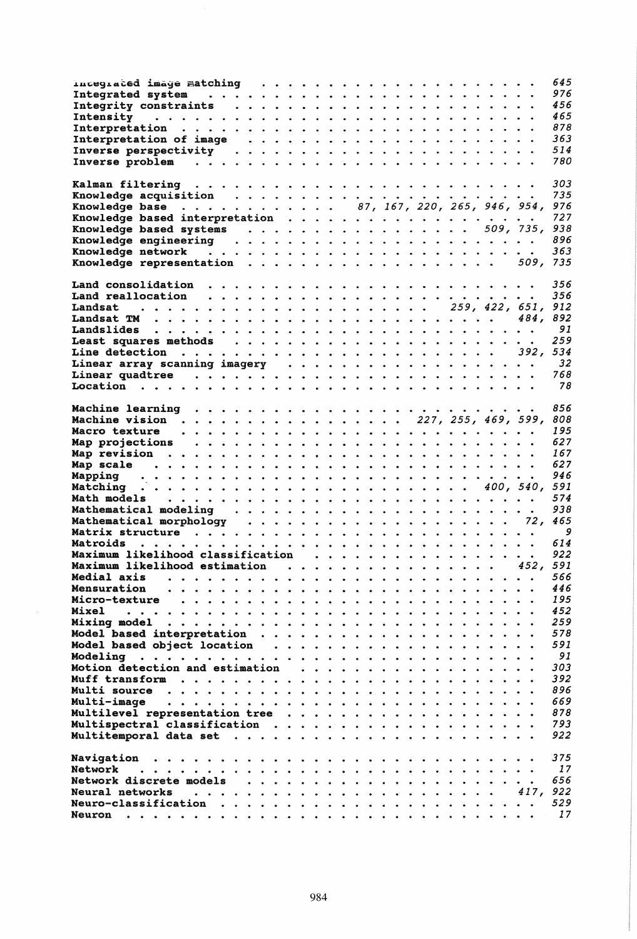|                                                                                                                                                                                                                                 |  |  |  |  |   |      | 645             |
|---------------------------------------------------------------------------------------------------------------------------------------------------------------------------------------------------------------------------------|--|--|--|--|---|------|-----------------|
|                                                                                                                                                                                                                                 |  |  |  |  |   |      | 976             |
|                                                                                                                                                                                                                                 |  |  |  |  |   |      | 456             |
| Intensity (a) and a contract a contract of the contract of the contract of the contract of the contract of the contract of the contract of the contract of the contract of the contract of the contract of the contract of the  |  |  |  |  |   |      | 465             |
|                                                                                                                                                                                                                                 |  |  |  |  |   |      | 878             |
|                                                                                                                                                                                                                                 |  |  |  |  |   |      | 363             |
|                                                                                                                                                                                                                                 |  |  |  |  |   |      | 514             |
|                                                                                                                                                                                                                                 |  |  |  |  |   |      | 780             |
|                                                                                                                                                                                                                                 |  |  |  |  |   |      |                 |
|                                                                                                                                                                                                                                 |  |  |  |  |   |      | 303             |
|                                                                                                                                                                                                                                 |  |  |  |  |   |      | 735             |
|                                                                                                                                                                                                                                 |  |  |  |  |   |      |                 |
| Knowledge base 87, 167, 220, 265, 946, 954, 976                                                                                                                                                                                 |  |  |  |  |   |      |                 |
|                                                                                                                                                                                                                                 |  |  |  |  |   |      | 727             |
| Knowledge based systems 509, 735, 938                                                                                                                                                                                           |  |  |  |  |   |      |                 |
|                                                                                                                                                                                                                                 |  |  |  |  |   |      | 896             |
|                                                                                                                                                                                                                                 |  |  |  |  |   |      | 363             |
| Knowledge representation 509, 735                                                                                                                                                                                               |  |  |  |  |   |      |                 |
|                                                                                                                                                                                                                                 |  |  |  |  |   |      |                 |
|                                                                                                                                                                                                                                 |  |  |  |  |   |      | 356             |
|                                                                                                                                                                                                                                 |  |  |  |  |   |      | 356             |
|                                                                                                                                                                                                                                 |  |  |  |  |   |      |                 |
|                                                                                                                                                                                                                                 |  |  |  |  |   |      |                 |
|                                                                                                                                                                                                                                 |  |  |  |  |   |      | 91              |
|                                                                                                                                                                                                                                 |  |  |  |  |   |      | 259             |
|                                                                                                                                                                                                                                 |  |  |  |  |   |      |                 |
|                                                                                                                                                                                                                                 |  |  |  |  |   |      | $\overline{32}$ |
|                                                                                                                                                                                                                                 |  |  |  |  |   |      | 768             |
|                                                                                                                                                                                                                                 |  |  |  |  |   |      | 78              |
|                                                                                                                                                                                                                                 |  |  |  |  |   |      |                 |
|                                                                                                                                                                                                                                 |  |  |  |  |   |      | 856             |
|                                                                                                                                                                                                                                 |  |  |  |  |   |      |                 |
|                                                                                                                                                                                                                                 |  |  |  |  |   |      | 808             |
|                                                                                                                                                                                                                                 |  |  |  |  |   |      | 195             |
|                                                                                                                                                                                                                                 |  |  |  |  |   |      | 627             |
|                                                                                                                                                                                                                                 |  |  |  |  |   |      | 167             |
|                                                                                                                                                                                                                                 |  |  |  |  |   |      | 627             |
|                                                                                                                                                                                                                                 |  |  |  |  |   |      | 946             |
|                                                                                                                                                                                                                                 |  |  |  |  |   |      |                 |
|                                                                                                                                                                                                                                 |  |  |  |  |   |      | 574             |
|                                                                                                                                                                                                                                 |  |  |  |  |   |      | 938             |
|                                                                                                                                                                                                                                 |  |  |  |  |   |      |                 |
| Mathematical morphology (and all and all and all and all all and all all all also Matrix structure (also conta<br>Matrix structure (also contained also contained also contained also contained also contained also contained a |  |  |  |  |   |      |                 |
|                                                                                                                                                                                                                                 |  |  |  |  |   |      |                 |
|                                                                                                                                                                                                                                 |  |  |  |  |   |      | 922             |
| Maximum likelihood estimation 452, 591                                                                                                                                                                                          |  |  |  |  |   |      |                 |
| Medial axis                                                                                                                                                                                                                     |  |  |  |  |   |      | 566             |
| Mensuration                                                                                                                                                                                                                     |  |  |  |  |   |      | 446             |
| Micro-texture                                                                                                                                                                                                                   |  |  |  |  |   |      | 195             |
| Mixel                                                                                                                                                                                                                           |  |  |  |  |   |      | 452             |
| $\ddot{\phantom{a}}$                                                                                                                                                                                                            |  |  |  |  |   |      | 259             |
| Mixing model                                                                                                                                                                                                                    |  |  |  |  |   |      |                 |
| Model based interpretation                                                                                                                                                                                                      |  |  |  |  |   |      | 578             |
| Model based object location                                                                                                                                                                                                     |  |  |  |  |   |      | 591             |
| Modeling                                                                                                                                                                                                                        |  |  |  |  |   |      | 91              |
| Motion detection and estimation                                                                                                                                                                                                 |  |  |  |  | . |      | 303             |
|                                                                                                                                                                                                                                 |  |  |  |  |   |      | 392             |
|                                                                                                                                                                                                                                 |  |  |  |  |   |      | 896             |
| Multi-image                                                                                                                                                                                                                     |  |  |  |  |   |      | 669             |
| Multilevel representation tree                                                                                                                                                                                                  |  |  |  |  |   |      | 878             |
| Multispectral classification                                                                                                                                                                                                    |  |  |  |  |   |      | 793             |
|                                                                                                                                                                                                                                 |  |  |  |  |   |      | 922             |
|                                                                                                                                                                                                                                 |  |  |  |  |   |      |                 |
| Navigation                                                                                                                                                                                                                      |  |  |  |  |   |      | 375             |
| Network<br>$\sim$ $\sim$                                                                                                                                                                                                        |  |  |  |  |   |      | 17              |
| Network discrete models                                                                                                                                                                                                         |  |  |  |  |   |      | 656             |
| Neural networks                                                                                                                                                                                                                 |  |  |  |  |   | 417. | 922             |
| $\ddot{\bullet}$ $\ddot{\bullet}$ $\ddot{\bullet}$                                                                                                                                                                              |  |  |  |  |   |      |                 |
|                                                                                                                                                                                                                                 |  |  |  |  |   |      | 529             |
|                                                                                                                                                                                                                                 |  |  |  |  |   |      | 17              |

 $\sim$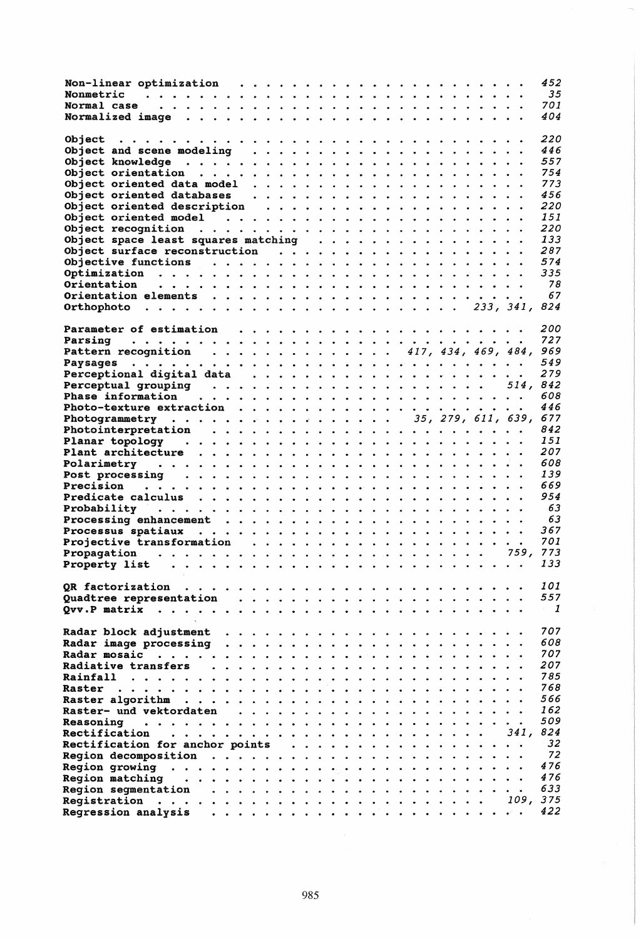|                                                                                                                                                                                  | 452<br>35<br>701 |
|----------------------------------------------------------------------------------------------------------------------------------------------------------------------------------|------------------|
|                                                                                                                                                                                  | 404              |
|                                                                                                                                                                                  | 220<br>446       |
|                                                                                                                                                                                  | 557<br>754       |
|                                                                                                                                                                                  | 773              |
|                                                                                                                                                                                  | 456              |
|                                                                                                                                                                                  | 220              |
|                                                                                                                                                                                  | 151              |
|                                                                                                                                                                                  | 220<br>133       |
| Object space least squares matching                                                                                                                                              | 287              |
|                                                                                                                                                                                  | 574              |
|                                                                                                                                                                                  | 335              |
|                                                                                                                                                                                  | 78               |
|                                                                                                                                                                                  | 67               |
|                                                                                                                                                                                  |                  |
|                                                                                                                                                                                  |                  |
|                                                                                                                                                                                  | 200<br>727       |
| Pattern recognition 417, 434, 469, 484, 969                                                                                                                                      |                  |
|                                                                                                                                                                                  | 549              |
|                                                                                                                                                                                  | 279              |
|                                                                                                                                                                                  | 514.842          |
| Phase information $\cdots \cdots \cdots \cdots \cdots$                                                                                                                           | 608              |
|                                                                                                                                                                                  | 446              |
| Photogrammetry 35, 279, 611, 639, 677                                                                                                                                            |                  |
|                                                                                                                                                                                  | 842<br>151       |
|                                                                                                                                                                                  | 207              |
|                                                                                                                                                                                  | 608              |
|                                                                                                                                                                                  | 139              |
|                                                                                                                                                                                  | 669              |
|                                                                                                                                                                                  | 954              |
|                                                                                                                                                                                  | 63               |
|                                                                                                                                                                                  |                  |
|                                                                                                                                                                                  | 63               |
|                                                                                                                                                                                  | 367              |
|                                                                                                                                                                                  | 701              |
|                                                                                                                                                                                  | 133              |
| Property list                                                                                                                                                                    |                  |
| QR factorization<br>range and a series of the series of                                                                                                                          | 101              |
| Quadtree representation                                                                                                                                                          | 557              |
| Qvv.P matrix<br>.<br>$\begin{array}{cccccccccccccc} \bullet & \bullet & \bullet & \bullet & \bullet & \bullet & \bullet & \bullet \end{array}$<br>$\sim$<br>$\ddot{\phantom{a}}$ | 1                |
|                                                                                                                                                                                  |                  |
| Radar block adjustment                                                                                                                                                           | 707              |
| Radar image processing<br><u>a a a a a a a</u><br>$\sim$<br><u>and a series</u>                                                                                                  | 608              |
| Radar mosaic<br>$\ddot{\phantom{a}}$<br>$\bullet$ $\bullet$                                                                                                                      | 707<br>207       |
| Radiative transfers<br>$\ddot{\phantom{0}}$<br>Rainfall<br>$\mathbf{a}$                                                                                                          | 785              |
| Raster                                                                                                                                                                           | 768              |
| Raster algorithm                                                                                                                                                                 | 566              |
| Raster- und vektordaten                                                                                                                                                          | 162              |
| <b>Reasoning</b>                                                                                                                                                                 | 509              |
| Rectification<br>.<br>$\bullet$                                                                                                                                                  | 824<br>341.      |
| Rectification for anchor points                                                                                                                                                  | 32               |
| Region decomposition<br>$\ddot{\bullet}$ $\ddot{\bullet}$ $\ddot{\bullet}$<br>$\ddot{\phantom{a}}$                                                                               | 72<br>476        |
| Region growing<br>.<br>$\bullet$<br>$\bullet$<br>$\bullet$<br>$\bullet$<br>$\ddot{\bullet}$ $\ddot{\bullet}$ $\ddot{\bullet}$ $\ddot{\bullet}$<br>$\bullet$                      | 476              |
| Region matching<br>Reqion seqmentation                                                                                                                                           | 633              |
| <b>Registration</b><br>$\begin{array}{cccccccccccccc} \bullet & \bullet & \bullet & \bullet & \bullet & \bullet & \bullet \end{array}$<br>.<br>$\bullet$                         | 109, 375<br>422  |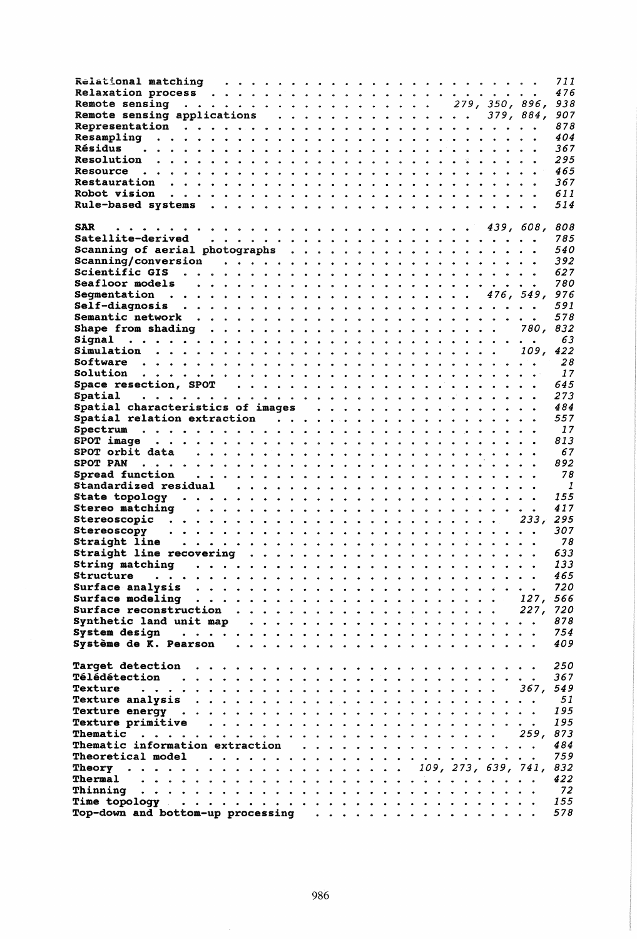|                                       |                      |                      |                                                                                                                           |  |  |  |            |  |  |   |                     | 711 |
|---------------------------------------|----------------------|----------------------|---------------------------------------------------------------------------------------------------------------------------|--|--|--|------------|--|--|---|---------------------|-----|
|                                       |                      |                      |                                                                                                                           |  |  |  |            |  |  |   |                     | 476 |
| Remote sensing 279, 350, 896,         |                      |                      |                                                                                                                           |  |  |  |            |  |  |   |                     | 938 |
| Remote sensing applications 379, 884, |                      |                      |                                                                                                                           |  |  |  |            |  |  |   |                     | 907 |
|                                       |                      |                      |                                                                                                                           |  |  |  |            |  |  |   |                     | 878 |
| Resampling                            |                      |                      |                                                                                                                           |  |  |  |            |  |  |   |                     | 404 |
| Résidus                               |                      |                      |                                                                                                                           |  |  |  |            |  |  |   |                     | 367 |
| Resolution                            |                      |                      |                                                                                                                           |  |  |  |            |  |  |   |                     | 295 |
| Resource                              |                      |                      |                                                                                                                           |  |  |  |            |  |  |   |                     | 465 |
|                                       |                      |                      |                                                                                                                           |  |  |  |            |  |  |   |                     | 367 |
| <b>Robot vision</b>                   |                      |                      |                                                                                                                           |  |  |  |            |  |  |   |                     | 611 |
|                                       |                      |                      |                                                                                                                           |  |  |  |            |  |  |   |                     | 514 |
|                                       |                      |                      |                                                                                                                           |  |  |  |            |  |  |   |                     |     |
| <b>SAR</b>                            |                      |                      |                                                                                                                           |  |  |  |            |  |  |   | 439, 608,           | 808 |
| Satellite-derived                     |                      |                      |                                                                                                                           |  |  |  |            |  |  |   |                     | 785 |
|                                       |                      |                      |                                                                                                                           |  |  |  |            |  |  |   |                     | 540 |
|                                       |                      |                      |                                                                                                                           |  |  |  |            |  |  |   |                     | 392 |
|                                       |                      |                      |                                                                                                                           |  |  |  |            |  |  |   |                     | 627 |
| Seafloor models                       |                      |                      |                                                                                                                           |  |  |  |            |  |  |   |                     | 780 |
|                                       |                      |                      |                                                                                                                           |  |  |  |            |  |  |   |                     | 976 |
| Self-diagnosis                        |                      |                      |                                                                                                                           |  |  |  |            |  |  |   |                     | 591 |
|                                       |                      |                      |                                                                                                                           |  |  |  |            |  |  |   |                     | 578 |
|                                       |                      |                      |                                                                                                                           |  |  |  |            |  |  |   | 780.                | 832 |
| Signal                                |                      |                      |                                                                                                                           |  |  |  |            |  |  |   |                     | 63  |
|                                       |                      |                      |                                                                                                                           |  |  |  |            |  |  |   | 109.                | 422 |
|                                       |                      |                      |                                                                                                                           |  |  |  |            |  |  |   |                     | 28  |
| Solution                              |                      |                      |                                                                                                                           |  |  |  |            |  |  |   |                     | 17  |
|                                       |                      |                      |                                                                                                                           |  |  |  |            |  |  |   |                     | 645 |
|                                       |                      |                      |                                                                                                                           |  |  |  |            |  |  |   |                     |     |
| Spatial                               |                      |                      |                                                                                                                           |  |  |  |            |  |  |   |                     | 273 |
|                                       |                      |                      |                                                                                                                           |  |  |  |            |  |  |   |                     | 484 |
|                                       |                      |                      |                                                                                                                           |  |  |  |            |  |  |   |                     | 557 |
|                                       |                      |                      |                                                                                                                           |  |  |  |            |  |  |   |                     | 17  |
| <b>SPOT image</b>                     |                      |                      |                                                                                                                           |  |  |  |            |  |  |   |                     | 813 |
|                                       |                      |                      |                                                                                                                           |  |  |  |            |  |  |   |                     | 67  |
| <b>SPOT PAN</b>                       |                      |                      |                                                                                                                           |  |  |  |            |  |  |   |                     | 892 |
| Spread function                       |                      |                      |                                                                                                                           |  |  |  |            |  |  |   |                     | 78  |
|                                       |                      |                      |                                                                                                                           |  |  |  |            |  |  |   |                     | - 1 |
|                                       |                      |                      |                                                                                                                           |  |  |  |            |  |  |   |                     | 155 |
| <b>Stereo matching</b>                |                      |                      |                                                                                                                           |  |  |  |            |  |  |   |                     | 417 |
|                                       |                      |                      |                                                                                                                           |  |  |  |            |  |  |   | 233, 295            |     |
| Stereoscopy                           |                      |                      |                                                                                                                           |  |  |  |            |  |  |   |                     | 307 |
| Straight line                         |                      |                      |                                                                                                                           |  |  |  |            |  |  |   |                     | 78  |
| Straight line recovering              |                      |                      |                                                                                                                           |  |  |  |            |  |  |   |                     | 633 |
| String matching                       |                      |                      | $\begin{array}{cccccccccccccc} \bullet & \bullet & \bullet & \bullet & \bullet & \bullet & \bullet & \bullet \end{array}$ |  |  |  |            |  |  | . |                     | 133 |
| Structure                             |                      |                      | .                                                                                                                         |  |  |  |            |  |  |   |                     | 465 |
| Surface analysis                      |                      |                      |                                                                                                                           |  |  |  |            |  |  |   |                     | 720 |
| Surface modeling                      |                      |                      |                                                                                                                           |  |  |  |            |  |  |   | 127.                | 566 |
| Surface reconstruction                |                      | $\ddot{\phantom{a}}$ |                                                                                                                           |  |  |  |            |  |  |   | 227, 720            |     |
| Synthetic land unit map               |                      |                      | .                                                                                                                         |  |  |  |            |  |  |   |                     | 878 |
| System design<br>$\bullet$ $\bullet$  | $\ddot{\phantom{a}}$ |                      |                                                                                                                           |  |  |  |            |  |  |   |                     | 754 |
| Système de K. Pearson                 |                      |                      |                                                                                                                           |  |  |  |            |  |  |   |                     | 409 |
|                                       |                      |                      |                                                                                                                           |  |  |  |            |  |  |   |                     |     |
| <b>Tarqet detection</b>               |                      |                      |                                                                                                                           |  |  |  |            |  |  |   |                     | 250 |
| <b>Télédétection</b>                  |                      |                      |                                                                                                                           |  |  |  |            |  |  |   |                     | 367 |
| Texture                               |                      |                      |                                                                                                                           |  |  |  |            |  |  |   | 367.                | 549 |
| <b>Texture analysis</b>               |                      |                      |                                                                                                                           |  |  |  |            |  |  |   |                     | 51  |
| <b>Texture energy.</b>                | .                    |                      |                                                                                                                           |  |  |  |            |  |  |   |                     | 195 |
| Texture primitive                     | .                    |                      |                                                                                                                           |  |  |  |            |  |  |   |                     | 195 |
| Thematic                              |                      |                      |                                                                                                                           |  |  |  |            |  |  |   | 259.                | 873 |
| Thematic information extraction       |                      |                      |                                                                                                                           |  |  |  | . <b>.</b> |  |  |   |                     | 484 |
| Theoretical model                     | .                    |                      |                                                                                                                           |  |  |  |            |  |  |   |                     | 759 |
|                                       |                      |                      |                                                                                                                           |  |  |  |            |  |  |   | 109, 273, 639, 741, | 832 |
| Thermal<br>.                          |                      |                      |                                                                                                                           |  |  |  |            |  |  |   |                     | 422 |
| Thinning                              |                      |                      |                                                                                                                           |  |  |  |            |  |  |   |                     | 72  |
| Time topology $\cdots$                |                      |                      |                                                                                                                           |  |  |  |            |  |  |   |                     | 155 |
| Top-down and bottom-up processing     |                      |                      |                                                                                                                           |  |  |  |            |  |  |   |                     | 578 |
|                                       |                      |                      |                                                                                                                           |  |  |  |            |  |  |   |                     |     |

 $\hat{\boldsymbol{\theta}}$